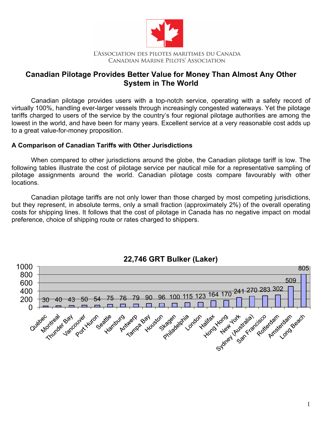

## **Canadian Pilotage Provides Better Value for Money Than Almost Any Other System in The World**

Canadian pilotage provides users with a top-notch service, operating with a safety record of virtually 100%, handling ever-larger vessels through increasingly congested waterways. Yet the pilotage tariffs charged to users of the service by the country's four regional pilotage authorities are among the lowest in the world, and have been for many years. Excellent service at a very reasonable cost adds up to a great value-for-money proposition.

## **A Comparison of Canadian Tariffs with Other Jurisdictions**

When compared to other jurisdictions around the globe, the Canadian pilotage tariff is low. The following tables illustrate the cost of pilotage service per nautical mile for a representative sampling of pilotage assignments around the world. Canadian pilotage costs compare favourably with other locations.

Canadian pilotage tariffs are not only lower than those charged by most competing jurisdictions, but they represent, in absolute terms, only a small fraction (approximately 2%) of the overall operating costs for shipping lines. It follows that the cost of pilotage in Canada has no negative impact on modal preference, choice of shipping route or rates charged to shippers.



## **22,746 GRT Bulker (Laker)**